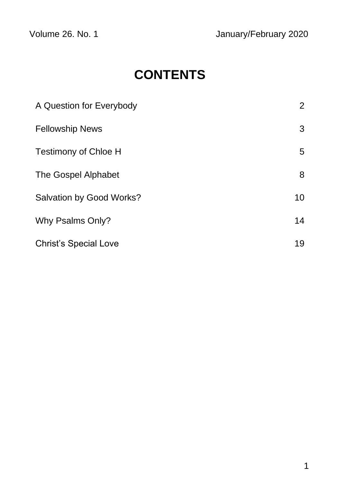# **CONTENTS**

| A Question for Everybody     | $\overline{2}$ |
|------------------------------|----------------|
| <b>Fellowship News</b>       | 3              |
| <b>Testimony of Chloe H</b>  | 5              |
| The Gospel Alphabet          | 8              |
| Salvation by Good Works?     | 10             |
| Why Psalms Only?             | 14             |
| <b>Christ's Special Love</b> | 19             |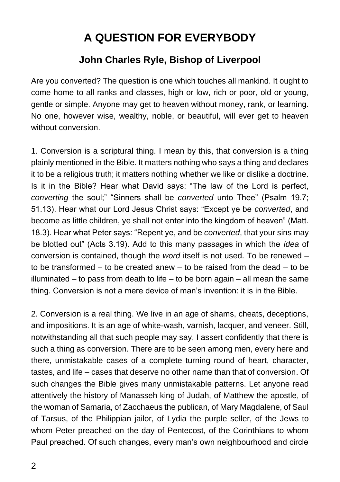## **A QUESTION FOR EVERYBODY**

#### **John Charles Ryle, Bishop of Liverpool**

Are you converted? The question is one which touches all mankind. It ought to come home to all ranks and classes, high or low, rich or poor, old or young, gentle or simple. Anyone may get to heaven without money, rank, or learning. No one, however wise, wealthy, noble, or beautiful, will ever get to heaven without conversion.

1. Conversion is a scriptural thing. I mean by this, that conversion is a thing plainly mentioned in the Bible. It matters nothing who says a thing and declares it to be a religious truth; it matters nothing whether we like or dislike a doctrine. Is it in the Bible? Hear what David says: "The law of the Lord is perfect, *converting* the soul;" "Sinners shall be *converted* unto Thee" (Psalm 19.7; 51.13). Hear what our Lord Jesus Christ says: "Except ye be *converted*, and become as little children, ye shall not enter into the kingdom of heaven" (Matt. 18.3). Hear what Peter says: "Repent ye, and be *converted*, that your sins may be blotted out" (Acts 3.19). Add to this many passages in which the *idea* of conversion is contained, though the *word* itself is not used. To be renewed – to be transformed – to be created anew – to be raised from the dead – to be illuminated – to pass from death to life – to be born again – all mean the same thing. Conversion is not a mere device of man's invention: it is in the Bible.

2. Conversion is a real thing. We live in an age of shams, cheats, deceptions, and impositions. It is an age of white-wash, varnish, lacquer, and veneer. Still, notwithstanding all that such people may say, I assert confidently that there is such a thing as conversion. There are to be seen among men, every here and there, unmistakable cases of a complete turning round of heart, character, tastes, and life – cases that deserve no other name than that of conversion. Of such changes the Bible gives many unmistakable patterns. Let anyone read attentively the history of Manasseh king of Judah, of Matthew the apostle, of the woman of Samaria, of Zacchaeus the publican, of Mary Magdalene, of Saul of Tarsus, of the Philippian jailor, of Lydia the purple seller, of the Jews to whom Peter preached on the day of Pentecost, of the Corinthians to whom Paul preached. Of such changes, every man's own neighbourhood and circle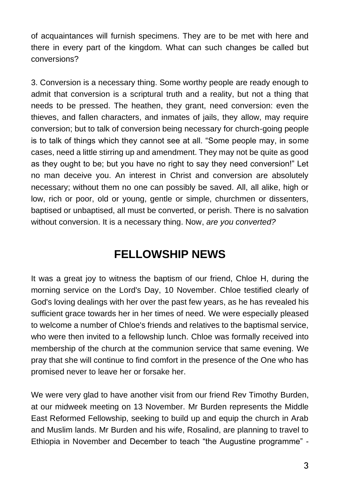of acquaintances will furnish specimens. They are to be met with here and there in every part of the kingdom. What can such changes be called but conversions?

3. Conversion is a necessary thing. Some worthy people are ready enough to admit that conversion is a scriptural truth and a reality, but not a thing that needs to be pressed. The heathen, they grant, need conversion: even the thieves, and fallen characters, and inmates of jails, they allow, may require conversion; but to talk of conversion being necessary for church-going people is to talk of things which they cannot see at all. "Some people may, in some cases, need a little stirring up and amendment. They may not be quite as good as they ought to be; but you have no right to say they need conversion!" Let no man deceive you. An interest in Christ and conversion are absolutely necessary; without them no one can possibly be saved. All, all alike, high or low, rich or poor, old or young, gentle or simple, churchmen or dissenters, baptised or unbaptised, all must be converted, or perish. There is no salvation without conversion. It is a necessary thing. Now, *are you converted?*

### **FELLOWSHIP NEWS**

It was a great joy to witness the baptism of our friend, Chloe H, during the morning service on the Lord's Day, 10 November. Chloe testified clearly of God's loving dealings with her over the past few years, as he has revealed his sufficient grace towards her in her times of need. We were especially pleased to welcome a number of Chloe's friends and relatives to the baptismal service, who were then invited to a fellowship lunch. Chloe was formally received into membership of the church at the communion service that same evening. We pray that she will continue to find comfort in the presence of the One who has promised never to leave her or forsake her.

We were very glad to have another visit from our friend Rev Timothy Burden, at our midweek meeting on 13 November. Mr Burden represents the Middle East Reformed Fellowship, seeking to build up and equip the church in Arab and Muslim lands. Mr Burden and his wife, Rosalind, are planning to travel to Ethiopia in November and December to teach "the Augustine programme" -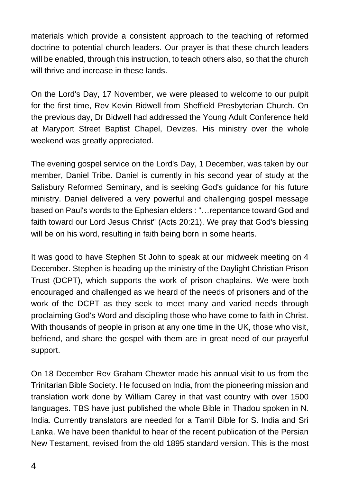materials which provide a consistent approach to the teaching of reformed doctrine to potential church leaders. Our prayer is that these church leaders will be enabled, through this instruction, to teach others also, so that the church will thrive and increase in these lands.

On the Lord's Day, 17 November, we were pleased to welcome to our pulpit for the first time, Rev Kevin Bidwell from Sheffield Presbyterian Church. On the previous day, Dr Bidwell had addressed the Young Adult Conference held at Maryport Street Baptist Chapel, Devizes. His ministry over the whole weekend was greatly appreciated.

The evening gospel service on the Lord's Day, 1 December, was taken by our member, Daniel Tribe. Daniel is currently in his second year of study at the Salisbury Reformed Seminary, and is seeking God's guidance for his future ministry. Daniel delivered a very powerful and challenging gospel message based on Paul's words to the Ephesian elders : "…repentance toward God and faith toward our Lord Jesus Christ" (Acts 20:21). We pray that God's blessing will be on his word, resulting in faith being born in some hearts.

It was good to have Stephen St John to speak at our midweek meeting on 4 December. Stephen is heading up the ministry of the Daylight Christian Prison Trust (DCPT), which supports the work of prison chaplains. We were both encouraged and challenged as we heard of the needs of prisoners and of the work of the DCPT as they seek to meet many and varied needs through proclaiming God's Word and discipling those who have come to faith in Christ. With thousands of people in prison at any one time in the UK, those who visit, befriend, and share the gospel with them are in great need of our prayerful support.

On 18 December Rev Graham Chewter made his annual visit to us from the Trinitarian Bible Society. He focused on India, from the pioneering mission and translation work done by William Carey in that vast country with over 1500 languages. TBS have just published the whole Bible in Thadou spoken in N. India. Currently translators are needed for a Tamil Bible for S. India and Sri Lanka. We have been thankful to hear of the recent publication of the Persian New Testament, revised from the old 1895 standard version. This is the most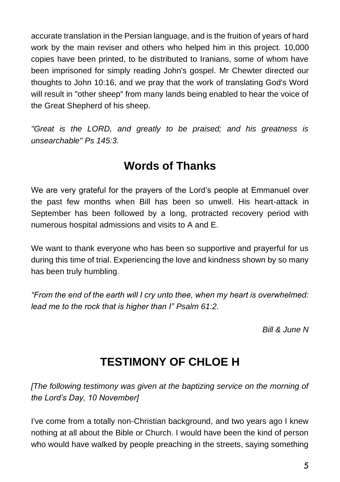accurate translation in the Persian language, and is the fruition of years of hard work by the main reviser and others who helped him in this project. 10,000 copies have been printed, to be distributed to Iranians, some of whom have been imprisoned for simply reading John's gospel. Mr Chewter directed our thoughts to John 10:16, and we pray that the work of translating God's Word will result in "other sheep" from many lands being enabled to hear the voice of the Great Shepherd of his sheep.

*"Great is the LORD, and greatly to be praised; and his greatness is unsearchable" Ps 145:3.*

### **Words of Thanks**

We are very grateful for the prayers of the Lord's people at Emmanuel over the past few months when Bill has been so unwell. His heart-attack in September has been followed by a long, protracted recovery period with numerous hospital admissions and visits to A and E.

We want to thank everyone who has been so supportive and prayerful for us during this time of trial. Experiencing the love and kindness shown by so many has been truly humbling.

*"From the end of the earth will I cry unto thee, when my heart is overwhelmed: lead me to the rock that is higher than I" Psalm 61:2.*

*Bill & June N*

## **TESTIMONY OF CHLOE H**

*[The following testimony was given at the baptizing service on the morning of the Lord's Day, 10 November]*

I've come from a totally non-Christian background, and two years ago I knew nothing at all about the Bible or Church. I would have been the kind of person who would have walked by people preaching in the streets, saying something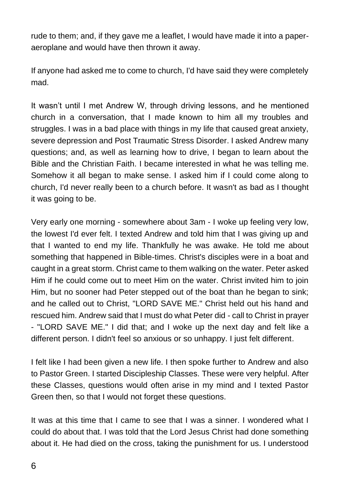rude to them; and, if they gave me a leaflet, I would have made it into a paperaeroplane and would have then thrown it away.

If anyone had asked me to come to church, I'd have said they were completely mad.

It wasn't until I met Andrew W, through driving lessons, and he mentioned church in a conversation, that I made known to him all my troubles and struggles. I was in a bad place with things in my life that caused great anxiety, severe depression and Post Traumatic Stress Disorder. I asked Andrew many questions; and, as well as learning how to drive, I began to learn about the Bible and the Christian Faith. I became interested in what he was telling me. Somehow it all began to make sense. I asked him if I could come along to church, I'd never really been to a church before. It wasn't as bad as I thought it was going to be.

Very early one morning - somewhere about 3am - I woke up feeling very low, the lowest I'd ever felt. I texted Andrew and told him that I was giving up and that I wanted to end my life. Thankfully he was awake. He told me about something that happened in Bible-times. Christ's disciples were in a boat and caught in a great storm. Christ came to them walking on the water. Peter asked Him if he could come out to meet Him on the water. Christ invited him to join Him, but no sooner had Peter stepped out of the boat than he began to sink; and he called out to Christ, "LORD SAVE ME." Christ held out his hand and rescued him. Andrew said that I must do what Peter did - call to Christ in prayer - "LORD SAVE ME." I did that; and I woke up the next day and felt like a different person. I didn't feel so anxious or so unhappy. I just felt different.

I felt like I had been given a new life. I then spoke further to Andrew and also to Pastor Green. I started Discipleship Classes. These were very helpful. After these Classes, questions would often arise in my mind and I texted Pastor Green then, so that I would not forget these questions.

It was at this time that I came to see that I was a sinner. I wondered what I could do about that. I was told that the Lord Jesus Christ had done something about it. He had died on the cross, taking the punishment for us. I understood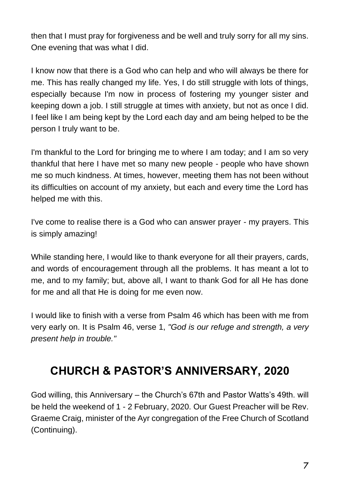then that I must pray for forgiveness and be well and truly sorry for all my sins. One evening that was what I did.

I know now that there is a God who can help and who will always be there for me. This has really changed my life. Yes, I do still struggle with lots of things, especially because I'm now in process of fostering my younger sister and keeping down a job. I still struggle at times with anxiety, but not as once I did. I feel like I am being kept by the Lord each day and am being helped to be the person I truly want to be.

I'm thankful to the Lord for bringing me to where I am today; and I am so very thankful that here I have met so many new people - people who have shown me so much kindness. At times, however, meeting them has not been without its difficulties on account of my anxiety, but each and every time the Lord has helped me with this.

I've come to realise there is a God who can answer prayer - my prayers. This is simply amazing!

While standing here, I would like to thank everyone for all their prayers, cards, and words of encouragement through all the problems. It has meant a lot to me, and to my family; but, above all, I want to thank God for all He has done for me and all that He is doing for me even now.

I would like to finish with a verse from Psalm 46 which has been with me from very early on. It is Psalm 46, verse 1, *"God is our refuge and strength, a very present help in trouble."*

## **CHURCH & PASTOR'S ANNIVERSARY, 2020**

God willing, this Anniversary – the Church's 67th and Pastor Watts's 49th. will be held the weekend of 1 - 2 February, 2020. Our Guest Preacher will be Rev. Graeme Craig, minister of the Ayr congregation of the Free Church of Scotland (Continuing).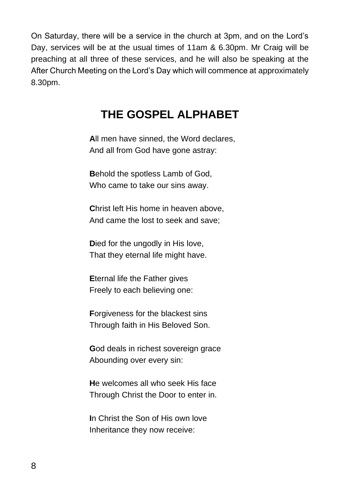On Saturday, there will be a service in the church at 3pm, and on the Lord's Day, services will be at the usual times of 11am & 6.30pm. Mr Craig will be preaching at all three of these services, and he will also be speaking at the After Church Meeting on the Lord's Day which will commence at approximately 8.30pm.

### **THE GOSPEL ALPHABET**

**A**ll men have sinned, the Word declares, And all from God have gone astray:

**B**ehold the spotless Lamb of God, Who came to take our sins away.

**C**hrist left His home in heaven above, And came the lost to seek and save;

**D**ied for the ungodly in His love, That they eternal life might have.

**E**ternal life the Father gives Freely to each believing one:

**F**orgiveness for the blackest sins Through faith in His Beloved Son.

**G**od deals in richest sovereign grace Abounding over every sin:

**H**e welcomes all who seek His face Through Christ the Door to enter in.

**I**n Christ the Son of His own love Inheritance they now receive: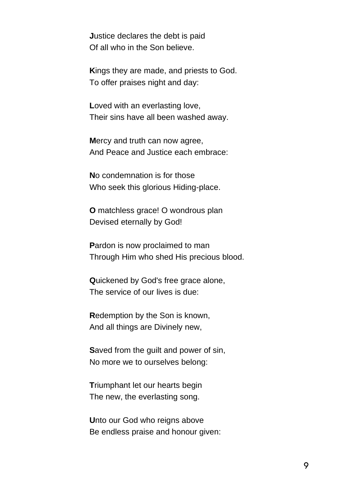**J**ustice declares the debt is paid Of all who in the Son believe.

**K**ings they are made, and priests to God. To offer praises night and day:

**L**oved with an everlasting love, Their sins have all been washed away.

**M**ercy and truth can now agree, And Peace and Justice each embrace:

**N**o condemnation is for those Who seek this glorious Hiding-place.

**O** matchless grace! O wondrous plan Devised eternally by God!

**P**ardon is now proclaimed to man Through Him who shed His precious blood.

**Q**uickened by God's free grace alone, The service of our lives is due:

**R**edemption by the Son is known, And all things are Divinely new,

**S**aved from the guilt and power of sin, No more we to ourselves belong:

**T**riumphant let our hearts begin The new, the everlasting song.

**U**nto our God who reigns above Be endless praise and honour given: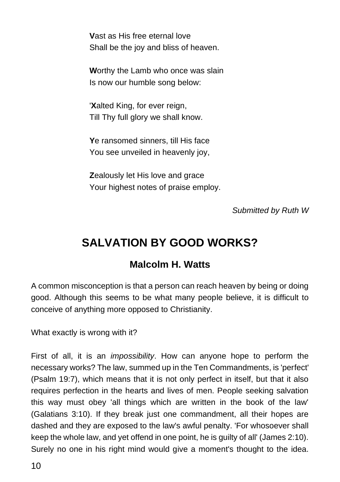**V**ast as His free eternal love Shall be the joy and bliss of heaven.

**W**orthy the Lamb who once was slain Is now our humble song below:

'**X**alted King, for ever reign, Till Thy full glory we shall know.

**Y**e ransomed sinners, till His face You see unveiled in heavenly joy,

**Z**ealously let His love and grace Your highest notes of praise employ.

*Submitted by Ruth W*

### **SALVATION BY GOOD WORKS?**

#### **Malcolm H. Watts**

A common misconception is that a person can reach heaven by being or doing good. Although this seems to be what many people believe, it is difficult to conceive of anything more opposed to Christianity.

What exactly is wrong with it?

First of all, it is an *impossibility*. How can anyone hope to perform the necessary works? The law, summed up in the Ten Commandments, is 'perfect' (Psalm 19:7), which means that it is not only perfect in itself, but that it also requires perfection in the hearts and lives of men. People seeking salvation this way must obey 'all things which are written in the book of the law' (Galatians 3:10). If they break just one commandment, all their hopes are dashed and they are exposed to the law's awful penalty. 'For whosoever shall keep the whole law, and yet offend in one point, he is guilty of all' (James 2:10). Surely no one in his right mind would give a moment's thought to the idea.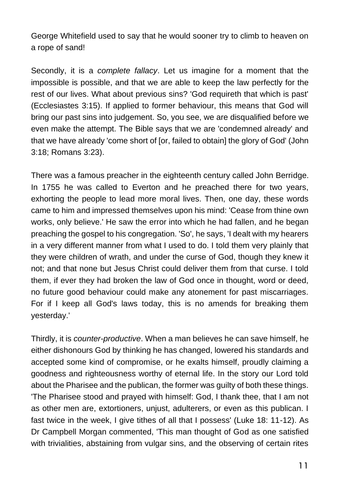George Whitefield used to say that he would sooner try to climb to heaven on a rope of sand!

Secondly, it is a *complete fallacy*. Let us imagine for a moment that the impossible is possible, and that we are able to keep the law perfectly for the rest of our lives. What about previous sins? 'God requireth that which is past' (Ecclesiastes 3:15). If applied to former behaviour, this means that God will bring our past sins into judgement. So, you see, we are disqualified before we even make the attempt. The Bible says that we are 'condemned already' and that we have already 'come short of [or, failed to obtain] the glory of God' (John 3:18; Romans 3:23).

There was a famous preacher in the eighteenth century called John Berridge. In 1755 he was called to Everton and he preached there for two years, exhorting the people to lead more moral lives. Then, one day, these words came to him and impressed themselves upon his mind: 'Cease from thine own works, only believe.' He saw the error into which he had fallen, and he began preaching the gospel to his congregation. 'So', he says, 'I dealt with my hearers in a very different manner from what I used to do. I told them very plainly that they were children of wrath, and under the curse of God, though they knew it not; and that none but Jesus Christ could deliver them from that curse. I told them, if ever they had broken the law of God once in thought, word or deed, no future good behaviour could make any atonement for past miscarriages. For if I keep all God's laws today, this is no amends for breaking them yesterday.'

Thirdly, it is *counter-productive*. When a man believes he can save himself, he either dishonours God by thinking he has changed, lowered his standards and accepted some kind of compromise, or he exalts himself, proudly claiming a goodness and righteousness worthy of eternal life. In the story our Lord told about the Pharisee and the publican, the former was guilty of both these things. 'The Pharisee stood and prayed with himself: God, I thank thee, that I am not as other men are, extortioners, unjust, adulterers, or even as this publican. I fast twice in the week, I give tithes of all that I possess' (Luke 18: 11-12). As Dr Campbell Morgan commented, 'This man thought of God as one satisfied with trivialities, abstaining from vulgar sins, and the observing of certain rites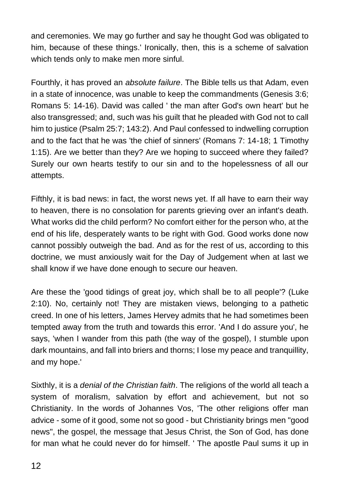and ceremonies. We may go further and say he thought God was obligated to him, because of these things.' Ironically, then, this is a scheme of salvation which tends only to make men more sinful.

Fourthly, it has proved an *absolute failure*. The Bible tells us that Adam, even in a state of innocence, was unable to keep the commandments (Genesis 3:6; Romans 5: 14-16). David was called ' the man after God's own heart' but he also transgressed; and, such was his guilt that he pleaded with God not to call him to justice (Psalm 25:7; 143:2). And Paul confessed to indwelling corruption and to the fact that he was 'the chief of sinners' (Romans 7: 14-18; 1 Timothy 1:15). Are we better than they? Are we hoping to succeed where they failed? Surely our own hearts testify to our sin and to the hopelessness of all our attempts.

Fifthly, it is bad news: in fact, the worst news yet. If all have to earn their way to heaven, there is no consolation for parents grieving over an infant's death. What works did the child perform? No comfort either for the person who, at the end of his life, desperately wants to be right with God. Good works done now cannot possibly outweigh the bad. And as for the rest of us, according to this doctrine, we must anxiously wait for the Day of Judgement when at last we shall know if we have done enough to secure our heaven.

Are these the 'good tidings of great joy, which shall be to all people'? (Luke 2:10). No, certainly not! They are mistaken views, belonging to a pathetic creed. In one of his letters, James Hervey admits that he had sometimes been tempted away from the truth and towards this error. 'And I do assure you', he says, 'when I wander from this path (the way of the gospel), I stumble upon dark mountains, and fall into briers and thorns; I lose my peace and tranquillity, and my hope.'

Sixthly, it is a *denial of the Christian faith*. The religions of the world all teach a system of moralism, salvation by effort and achievement, but not so Christianity. In the words of Johannes Vos, 'The other religions offer man advice - some of it good, some not so good - but Christianity brings men "good news", the gospel, the message that Jesus Christ, the Son of God, has done for man what he could never do for himself. ' The apostle Paul sums it up in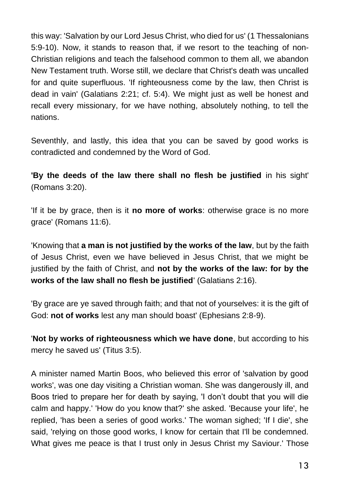this way: 'Salvation by our Lord Jesus Christ, who died for us' (1 Thessalonians 5:9-10). Now, it stands to reason that, if we resort to the teaching of non-Christian religions and teach the falsehood common to them all, we abandon New Testament truth. Worse still, we declare that Christ's death was uncalled for and quite superfluous. 'If righteousness come by the law, then Christ is dead in vain' (Galatians 2:21; cf. 5:4). We might just as well be honest and recall every missionary, for we have nothing, absolutely nothing, to tell the nations.

Seventhly, and lastly, this idea that you can be saved by good works is contradicted and condemned by the Word of God.

**'By the deeds of the law there shall no flesh be justified** in his sight' (Romans 3:20).

'If it be by grace, then is it **no more of works**: otherwise grace is no more grace' (Romans 11:6).

'Knowing that **a man is not justified by the works of the law**, but by the faith of Jesus Christ, even we have believed in Jesus Christ, that we might be justified by the faith of Christ, and **not by the works of the law: for by the works of the law shall no flesh be justified**' (Galatians 2:16).

'By grace are ye saved through faith; and that not of yourselves: it is the gift of God: **not of works** lest any man should boast' (Ephesians 2:8-9).

'**Not by works of righteousness which we have done**, but according to his mercy he saved us' (Titus 3:5).

A minister named Martin Boos, who believed this error of 'salvation by good works', was one day visiting a Christian woman. She was dangerously ill, and Boos tried to prepare her for death by saying, 'I don't doubt that you will die calm and happy.' 'How do you know that?' she asked. 'Because your life', he replied, 'has been a series of good works.' The woman sighed; 'If I die', she said, 'relying on those good works, I know for certain that I'll be condemned. What gives me peace is that I trust only in Jesus Christ my Saviour.' Those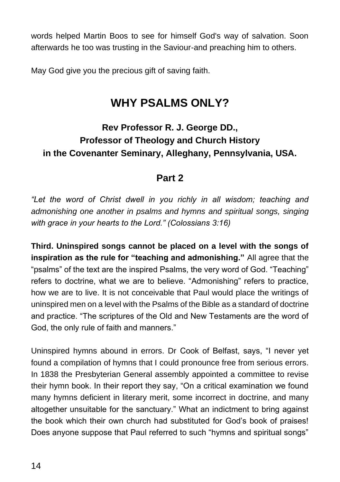words helped Martin Boos to see for himself God's way of salvation. Soon afterwards he too was trusting in the Saviour-and preaching him to others.

May God give you the precious gift of saving faith.

### **WHY PSALMS ONLY?**

### **Rev Professor R. J. George DD., Professor of Theology and Church History in the Covenanter Seminary, Alleghany, Pennsylvania, USA.**

#### **Part 2**

*"Let the word of Christ dwell in you richly in all wisdom; teaching and admonishing one another in psalms and hymns and spiritual songs, singing with grace in your hearts to the Lord." (Colossians 3:16)* 

**Third. Uninspired songs cannot be placed on a level with the songs of inspiration as the rule for "teaching and admonishing."** All agree that the "psalms" of the text are the inspired Psalms, the very word of God. "Teaching" refers to doctrine, what we are to believe. "Admonishing" refers to practice, how we are to live. It is not conceivable that Paul would place the writings of uninspired men on a level with the Psalms of the Bible as a standard of doctrine and practice. "The scriptures of the Old and New Testaments are the word of God, the only rule of faith and manners."

Uninspired hymns abound in errors. Dr Cook of Belfast, says, "I never yet found a compilation of hymns that I could pronounce free from serious errors. In 1838 the Presbyterian General assembly appointed a committee to revise their hymn book. In their report they say, "On a critical examination we found many hymns deficient in literary merit, some incorrect in doctrine, and many altogether unsuitable for the sanctuary." What an indictment to bring against the book which their own church had substituted for God's book of praises! Does anyone suppose that Paul referred to such "hymns and spiritual songs"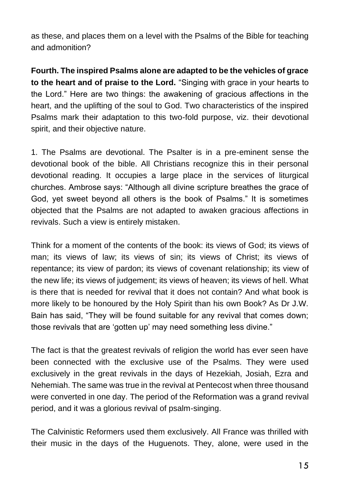as these, and places them on a level with the Psalms of the Bible for teaching and admonition?

**Fourth. The inspired Psalms alone are adapted to be the vehicles of grace to the heart and of praise to the Lord.** "Singing with grace in your hearts to the Lord." Here are two things: the awakening of gracious affections in the heart, and the uplifting of the soul to God. Two characteristics of the inspired Psalms mark their adaptation to this two-fold purpose, viz. their devotional spirit, and their objective nature.

1. The Psalms are devotional. The Psalter is in a pre-eminent sense the devotional book of the bible. All Christians recognize this in their personal devotional reading. It occupies a large place in the services of liturgical churches. Ambrose says: "Although all divine scripture breathes the grace of God, yet sweet beyond all others is the book of Psalms." It is sometimes objected that the Psalms are not adapted to awaken gracious affections in revivals. Such a view is entirely mistaken.

Think for a moment of the contents of the book: its views of God; its views of man; its views of law; its views of sin; its views of Christ; its views of repentance; its view of pardon; its views of covenant relationship; its view of the new life; its views of judgement; its views of heaven; its views of hell. What is there that is needed for revival that it does not contain? And what book is more likely to be honoured by the Holy Spirit than his own Book? As Dr J.W. Bain has said, "They will be found suitable for any revival that comes down; those revivals that are 'gotten up' may need something less divine."

The fact is that the greatest revivals of religion the world has ever seen have been connected with the exclusive use of the Psalms. They were used exclusively in the great revivals in the days of Hezekiah, Josiah, Ezra and Nehemiah. The same was true in the revival at Pentecost when three thousand were converted in one day. The period of the Reformation was a grand revival period, and it was a glorious revival of psalm-singing.

The Calvinistic Reformers used them exclusively. All France was thrilled with their music in the days of the Huguenots. They, alone, were used in the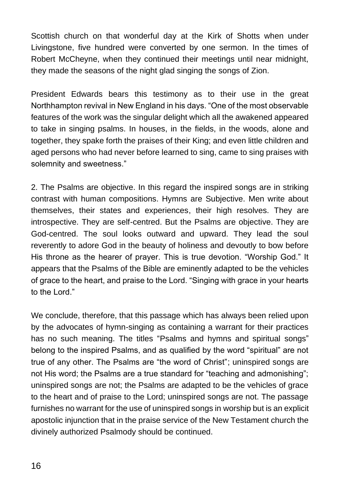Scottish church on that wonderful day at the Kirk of Shotts when under Livingstone, five hundred were converted by one sermon. In the times of Robert McCheyne, when they continued their meetings until near midnight, they made the seasons of the night glad singing the songs of Zion.

President Edwards bears this testimony as to their use in the great Northhampton revival in New England in his days. "One of the most observable features of the work was the singular delight which all the awakened appeared to take in singing psalms. In houses, in the fields, in the woods, alone and together, they spake forth the praises of their King; and even little children and aged persons who had never before learned to sing, came to sing praises with solemnity and sweetness."

2. The Psalms are objective. In this regard the inspired songs are in striking contrast with human compositions. Hymns are Subjective. Men write about themselves, their states and experiences, their high resolves. They are introspective. They are self-centred. But the Psalms are objective. They are God-centred. The soul looks outward and upward. They lead the soul reverently to adore God in the beauty of holiness and devoutly to bow before His throne as the hearer of prayer. This is true devotion. "Worship God." It appears that the Psalms of the Bible are eminently adapted to be the vehicles of grace to the heart, and praise to the Lord. "Singing with grace in your hearts to the Lord."

We conclude, therefore, that this passage which has always been relied upon by the advocates of hymn-singing as containing a warrant for their practices has no such meaning. The titles "Psalms and hymns and spiritual songs" belong to the inspired Psalms, and as qualified by the word "spiritual" are not true of any other. The Psalms are "the word of Christ"; uninspired songs are not His word; the Psalms are a true standard for "teaching and admonishing"; uninspired songs are not; the Psalms are adapted to be the vehicles of grace to the heart and of praise to the Lord; uninspired songs are not. The passage furnishes no warrant for the use of uninspired songs in worship but is an explicit apostolic injunction that in the praise service of the New Testament church the divinely authorized Psalmody should be continued.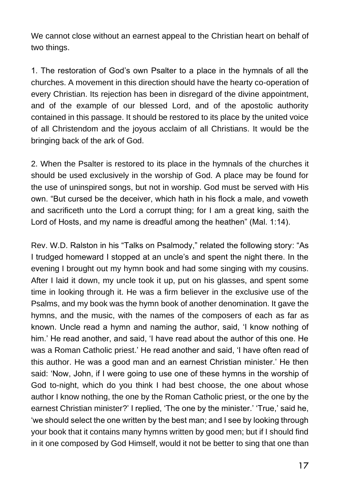We cannot close without an earnest appeal to the Christian heart on behalf of two things.

1. The restoration of God's own Psalter to a place in the hymnals of all the churches. A movement in this direction should have the hearty co-operation of every Christian. Its rejection has been in disregard of the divine appointment, and of the example of our blessed Lord, and of the apostolic authority contained in this passage. It should be restored to its place by the united voice of all Christendom and the joyous acclaim of all Christians. It would be the bringing back of the ark of God.

2. When the Psalter is restored to its place in the hymnals of the churches it should be used exclusively in the worship of God. A place may be found for the use of uninspired songs, but not in worship. God must be served with His own. "But cursed be the deceiver, which hath in his flock a male, and voweth and sacrificeth unto the Lord a corrupt thing; for I am a great king, saith the Lord of Hosts, and my name is dreadful among the heathen" (Mal. 1:14).

Rev. W.D. Ralston in his "Talks on Psalmody," related the following story: "As I trudged homeward I stopped at an uncle's and spent the night there. In the evening I brought out my hymn book and had some singing with my cousins. After I laid it down, my uncle took it up, put on his glasses, and spent some time in looking through it. He was a firm believer in the exclusive use of the Psalms, and my book was the hymn book of another denomination. It gave the hymns, and the music, with the names of the composers of each as far as known. Uncle read a hymn and naming the author, said, 'I know nothing of him.' He read another, and said, 'I have read about the author of this one. He was a Roman Catholic priest.' He read another and said, 'I have often read of this author. He was a good man and an earnest Christian minister.' He then said: 'Now, John, if I were going to use one of these hymns in the worship of God to-night, which do you think I had best choose, the one about whose author I know nothing, the one by the Roman Catholic priest, or the one by the earnest Christian minister?' I replied, 'The one by the minister.' 'True,' said he, 'we should select the one written by the best man; and I see by looking through your book that it contains many hymns written by good men; but if I should find in it one composed by God Himself, would it not be better to sing that one than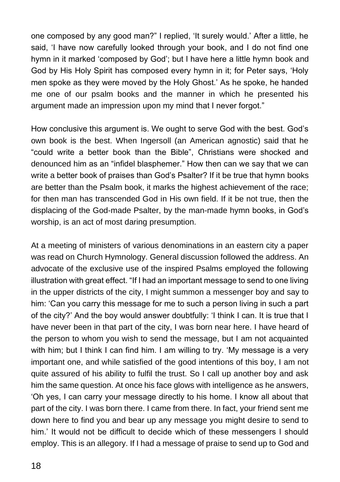one composed by any good man?" I replied, 'It surely would.' After a little, he said, 'I have now carefully looked through your book, and I do not find one hymn in it marked 'composed by God'; but I have here a little hymn book and God by His Holy Spirit has composed every hymn in it; for Peter says, 'Holy men spoke as they were moved by the Holy Ghost.' As he spoke, he handed me one of our psalm books and the manner in which he presented his argument made an impression upon my mind that I never forgot."

How conclusive this argument is. We ought to serve God with the best. God's own book is the best. When Ingersoll (an American agnostic) said that he "could write a better book than the Bible", Christians were shocked and denounced him as an "infidel blasphemer." How then can we say that we can write a better book of praises than God's Psalter? If it be true that hymn books are better than the Psalm book, it marks the highest achievement of the race; for then man has transcended God in His own field. If it be not true, then the displacing of the God-made Psalter, by the man-made hymn books, in God's worship, is an act of most daring presumption.

At a meeting of ministers of various denominations in an eastern city a paper was read on Church Hymnology. General discussion followed the address. An advocate of the exclusive use of the inspired Psalms employed the following illustration with great effect. "If I had an important message to send to one living in the upper districts of the city, I might summon a messenger boy and say to him: 'Can you carry this message for me to such a person living in such a part of the city?' And the boy would answer doubtfully: 'I think I can. It is true that I have never been in that part of the city, I was born near here. I have heard of the person to whom you wish to send the message, but I am not acquainted with him; but I think I can find him. I am willing to try. 'My message is a very important one, and while satisfied of the good intentions of this boy, I am not quite assured of his ability to fulfil the trust. So I call up another boy and ask him the same question. At once his face glows with intelligence as he answers, 'Oh yes, I can carry your message directly to his home. I know all about that part of the city. I was born there. I came from there. In fact, your friend sent me down here to find you and bear up any message you might desire to send to him.' It would not be difficult to decide which of these messengers I should employ. This is an allegory. If I had a message of praise to send up to God and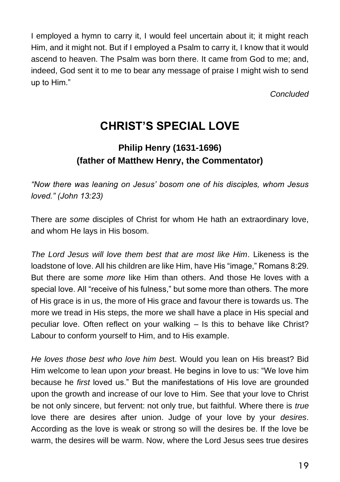I employed a hymn to carry it, I would feel uncertain about it; it might reach Him, and it might not. But if I employed a Psalm to carry it, I know that it would ascend to heaven. The Psalm was born there. It came from God to me; and, indeed, God sent it to me to bear any message of praise I might wish to send up to Him."

*Concluded*

## **CHRIST'S SPECIAL LOVE**

#### **Philip Henry (1631-1696) (father of Matthew Henry, the Commentator)**

*"Now there was leaning on Jesus' bosom one of his disciples, whom Jesus loved." (John 13:23)*

There are *some* disciples of Christ for whom He hath an extraordinary love, and whom He lays in His bosom.

*The Lord Jesus will love them best that are most like Him*. Likeness is the loadstone of love. All his children are like Him, have His "image," Romans 8:29. But there are some *more* like Him than others. And those He loves with a special love. All "receive of his fulness," but some more than others. The more of His grace is in us, the more of His grace and favour there is towards us. The more we tread in His steps, the more we shall have a place in His special and peculiar love. Often reflect on your walking – Is this to behave like Christ? Labour to conform yourself to Him, and to His example.

*He loves those best who love him bes*t. Would you lean on His breast? Bid Him welcome to lean upon *your* breast. He begins in love to us: "We love him because he *first* loved us." But the manifestations of His love are grounded upon the growth and increase of our love to Him. See that your love to Christ be not only sincere, but fervent: not only true, but faithful. Where there is *true* love there are desires after union. Judge of your love by your *desires*. According as the love is weak or strong so will the desires be. If the love be warm, the desires will be warm. Now, where the Lord Jesus sees true desires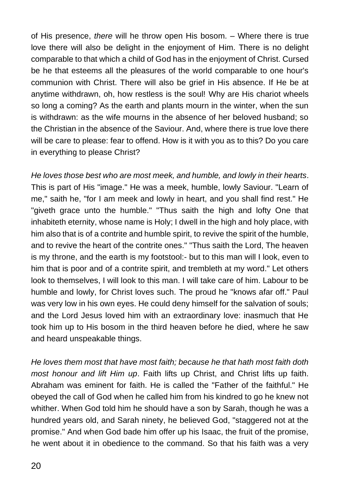of His presence, *there* will he throw open His bosom. – Where there is true love there will also be delight in the enjoyment of Him. There is no delight comparable to that which a child of God has in the enjoyment of Christ. Cursed be he that esteems all the pleasures of the world comparable to one hour's communion with Christ. There will also be grief in His absence. If He be at anytime withdrawn, oh, how restless is the soul! Why are His chariot wheels so long a coming? As the earth and plants mourn in the winter, when the sun is withdrawn: as the wife mourns in the absence of her beloved husband; so the Christian in the absence of the Saviour. And, where there is true love there will be care to please: fear to offend. How is it with you as to this? Do you care in everything to please Christ?

*He loves those best who are most meek, and humble, and lowly in their hearts*. This is part of His "image." He was a meek, humble, lowly Saviour. "Learn of me," saith he, "for I am meek and lowly in heart, and you shall find rest." He "giveth grace unto the humble." "Thus saith the high and lofty One that inhabiteth eternity, whose name is Holy; I dwell in the high and holy place, with him also that is of a contrite and humble spirit, to revive the spirit of the humble, and to revive the heart of the contrite ones." "Thus saith the Lord, The heaven is my throne, and the earth is my footstool:- but to this man will I look, even to him that is poor and of a contrite spirit, and trembleth at my word." Let others look to themselves, I will look to this man. I will take care of him. Labour to be humble and lowly, for Christ loves such. The proud he "knows afar off." Paul was very low in his own eyes. He could deny himself for the salvation of souls; and the Lord Jesus loved him with an extraordinary love: inasmuch that He took him up to His bosom in the third heaven before he died, where he saw and heard unspeakable things.

*He loves them most that have most faith; because he that hath most faith doth most honour and lift Him up*. Faith lifts up Christ, and Christ lifts up faith. Abraham was eminent for faith. He is called the "Father of the faithful." He obeyed the call of God when he called him from his kindred to go he knew not whither. When God told him he should have a son by Sarah, though he was a hundred years old, and Sarah ninety, he believed God, "staggered not at the promise." And when God bade him offer up his Isaac, the fruit of the promise, he went about it in obedience to the command. So that his faith was a very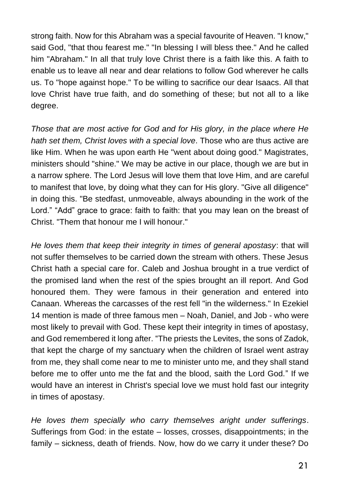strong faith. Now for this Abraham was a special favourite of Heaven. "I know," said God, "that thou fearest me." "In blessing I will bless thee." And he called him "Abraham." In all that truly love Christ there is a faith like this. A faith to enable us to leave all near and dear relations to follow God wherever he calls us. To "hope against hope." To be willing to sacrifice our dear Isaacs. All that love Christ have true faith, and do something of these; but not all to a like degree.

*Those that are most active for God and for His glory, in the place where He hath set them, Christ loves with a special love*. Those who are thus active are like Him. When he was upon earth He "went about doing good." Magistrates, ministers should "shine." We may be active in our place, though we are but in a narrow sphere. The Lord Jesus will love them that love Him, and are careful to manifest that love, by doing what they can for His glory. "Give all diligence" in doing this. "Be stedfast, unmoveable, always abounding in the work of the Lord." "Add" grace to grace: faith to faith: that you may lean on the breast of Christ. "Them that honour me I will honour."

*He loves them that keep their integrity in times of general apostasy*: that will not suffer themselves to be carried down the stream with others. These Jesus Christ hath a special care for. Caleb and Joshua brought in a true verdict of the promised land when the rest of the spies brought an ill report. And God honoured them. They were famous in their generation and entered into Canaan. Whereas the carcasses of the rest fell "in the wilderness." In Ezekiel 14 mention is made of three famous men – Noah, Daniel, and Job - who were most likely to prevail with God. These kept their integrity in times of apostasy, and God remembered it long after. "The priests the Levites, the sons of Zadok, that kept the charge of my sanctuary when the children of Israel went astray from me, they shall come near to me to minister unto me, and they shall stand before me to offer unto me the fat and the blood, saith the Lord God." If we would have an interest in Christ's special love we must hold fast our integrity in times of apostasy.

*He loves them specially who carry themselves aright under sufferings*. Sufferings from God: in the estate – losses, crosses, disappointments; in the family – sickness, death of friends. Now, how do we carry it under these? Do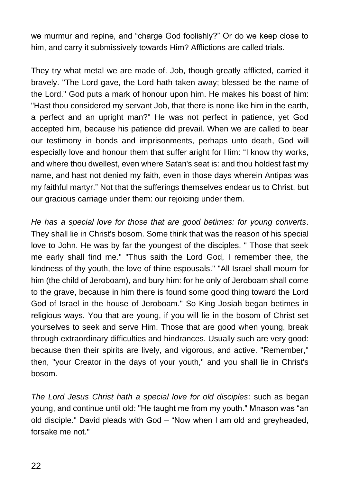we murmur and repine, and "charge God foolishly?" Or do we keep close to him, and carry it submissively towards Him? Afflictions are called trials.

They try what metal we are made of. Job, though greatly afflicted, carried it bravely. "The Lord gave, the Lord hath taken away; blessed be the name of the Lord." God puts a mark of honour upon him. He makes his boast of him: "Hast thou considered my servant Job, that there is none like him in the earth, a perfect and an upright man?" He was not perfect in patience, yet God accepted him, because his patience did prevail. When we are called to bear our testimony in bonds and imprisonments, perhaps unto death, God will especially love and honour them that suffer aright for Him: "I know thy works, and where thou dwellest, even where Satan's seat is: and thou holdest fast my name, and hast not denied my faith, even in those days wherein Antipas was my faithful martyr." Not that the sufferings themselves endear us to Christ, but our gracious carriage under them: our rejoicing under them.

*He has a special love for those that are good betimes: for young converts*. They shall lie in Christ's bosom. Some think that was the reason of his special love to John. He was by far the youngest of the disciples. " Those that seek me early shall find me." "Thus saith the Lord God, I remember thee, the kindness of thy youth, the love of thine espousals." "All Israel shall mourn for him (the child of Jeroboam), and bury him: for he only of Jeroboam shall come to the grave, because in him there is found some good thing toward the Lord God of Israel in the house of Jeroboam." So King Josiah began betimes in religious ways. You that are young, if you will lie in the bosom of Christ set yourselves to seek and serve Him. Those that are good when young, break through extraordinary difficulties and hindrances. Usually such are very good: because then their spirits are lively, and vigorous, and active. "Remember," then, "your Creator in the days of your youth," and you shall lie in Christ's bosom.

*The Lord Jesus Christ hath a special love for old disciples:* such as began young, and continue until old: "He taught me from my youth." Mnason was "an old disciple." David pleads with God – "Now when I am old and greyheaded, forsake me not."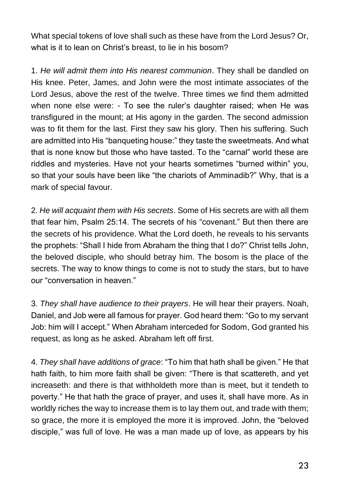What special tokens of love shall such as these have from the Lord Jesus? Or, what is it to lean on Christ's breast, to lie in his bosom?

1. *He will admit them into His nearest communion*. They shall be dandled on His knee. Peter, James, and John were the most intimate associates of the Lord Jesus, above the rest of the twelve. Three times we find them admitted when none else were: - To see the ruler's daughter raised; when He was transfigured in the mount; at His agony in the garden. The second admission was to fit them for the last. First they saw his glory. Then his suffering. Such are admitted into His "banqueting house:" they taste the sweetmeats. And what that is none know but those who have tasted. To the "carnal" world these are riddles and mysteries. Have not your hearts sometimes "burned within" you, so that your souls have been like "the chariots of Amminadib?" Why, that is a mark of special favour.

2. *He will acquaint them with His secrets*. Some of His secrets are with all them that fear him, Psalm 25:14. The secrets of his "covenant." But then there are the secrets of his providence. What the Lord doeth, he reveals to his servants the prophets: "Shall I hide from Abraham the thing that I do?" Christ tells John, the beloved disciple, who should betray him. The bosom is the place of the secrets. The way to know things to come is not to study the stars, but to have our "conversation in heaven."

3. *They shall have audience to their prayers*. He will hear their prayers. Noah, Daniel, and Job were all famous for prayer. God heard them: "Go to my servant Job: him will I accept." When Abraham interceded for Sodom, God granted his request, as long as he asked. Abraham left off first.

4. *They shall have additions of grace*: "To him that hath shall be given." He that hath faith, to him more faith shall be given: "There is that scattereth, and yet increaseth: and there is that withholdeth more than is meet, but it tendeth to poverty." He that hath the grace of prayer, and uses it, shall have more. As in worldly riches the way to increase them is to lay them out, and trade with them; so grace, the more it is employed the more it is improved. John, the "beloved disciple," was full of love. He was a man made up of love, as appears by his